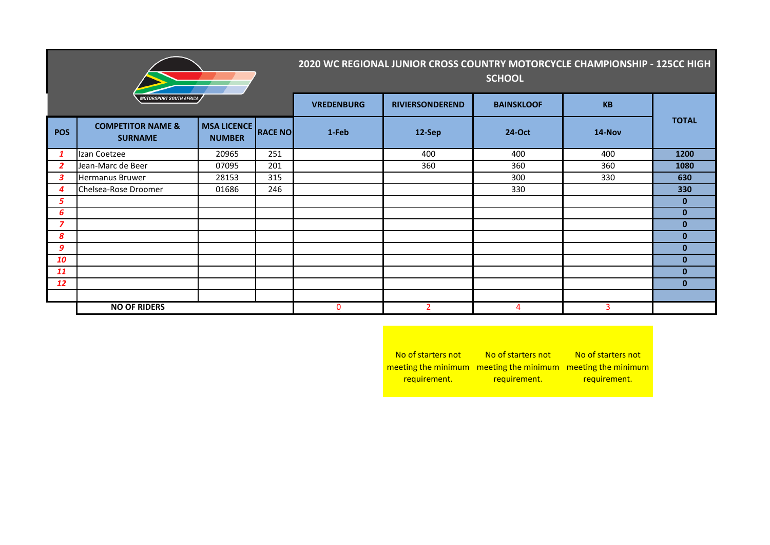| <b>MOTORSPORT SOUTH AFRICA</b> |                                                |                                     |                | 2020 WC REGIONAL JUNIOR CROSS COUNTRY MOTORCYCLE CHAMPIONSHIP - 125CC HIGH<br><b>SCHOOL</b> |                 |                   |           |              |  |
|--------------------------------|------------------------------------------------|-------------------------------------|----------------|---------------------------------------------------------------------------------------------|-----------------|-------------------|-----------|--------------|--|
|                                |                                                |                                     |                | <b>VREDENBURG</b>                                                                           | RIVIERSONDEREND | <b>BAINSKLOOF</b> | <b>KB</b> |              |  |
| <b>POS</b>                     | <b>COMPETITOR NAME &amp;</b><br><b>SURNAME</b> | <b>MSA LICENCE</b><br><b>NUMBER</b> | <b>RACE NO</b> | 1-Feb                                                                                       | 12-Sep          | 24-Oct            | 14-Nov    | <b>TOTAL</b> |  |
| $\mathbf{1}$                   | Izan Coetzee                                   | 20965                               | 251            |                                                                                             | 400             | 400               | 400       | 1200         |  |
| $\overline{2}$                 | Jean-Marc de Beer                              | 07095                               | 201            |                                                                                             | 360             | 360               | 360       | 1080         |  |
| 3                              | Hermanus Bruwer                                | 28153                               | 315            |                                                                                             |                 | 300               | 330       | 630          |  |
| 4                              | Chelsea-Rose Droomer                           | 01686                               | 246            |                                                                                             |                 | 330               |           | 330          |  |
| 5                              |                                                |                                     |                |                                                                                             |                 |                   |           | $\bf{0}$     |  |
| 6                              |                                                |                                     |                |                                                                                             |                 |                   |           | $\mathbf{0}$ |  |
| 7                              |                                                |                                     |                |                                                                                             |                 |                   |           | $\bf{0}$     |  |
| 8                              |                                                |                                     |                |                                                                                             |                 |                   |           | $\bf{0}$     |  |
| 9                              |                                                |                                     |                |                                                                                             |                 |                   |           | $\bf{0}$     |  |
| 10                             |                                                |                                     |                |                                                                                             |                 |                   |           | $\bf{0}$     |  |
| 11                             |                                                |                                     |                |                                                                                             |                 |                   |           | $\mathbf{0}$ |  |
| 12                             |                                                |                                     |                |                                                                                             |                 |                   |           | $\mathbf{0}$ |  |
|                                |                                                |                                     |                |                                                                                             |                 |                   |           |              |  |
|                                | <b>NO OF RIDERS</b>                            |                                     | $\overline{0}$ |                                                                                             | 4               | $\overline{3}$    |           |              |  |

No of starters not meeting the minimum meeting the minimum meeting the minimum requirement. No of starters not requirement. No of starters not requirement.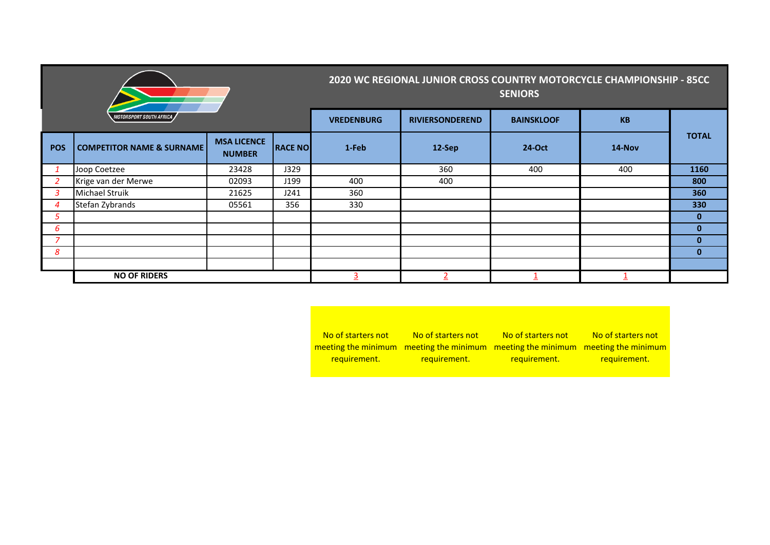|                                |                                      |                                     |                | 2020 WC REGIONAL JUNIOR CROSS COUNTRY MOTORCYCLE CHAMPIONSHIP - 85CC<br><b>SENIORS</b> |                        |                   |           |              |
|--------------------------------|--------------------------------------|-------------------------------------|----------------|----------------------------------------------------------------------------------------|------------------------|-------------------|-----------|--------------|
| <i>MOTORSPORT SOUTH AFRICA</i> |                                      |                                     |                | <b>VREDENBURG</b>                                                                      | <b>RIVIERSONDEREND</b> | <b>BAINSKLOOF</b> | <b>KB</b> |              |
| <b>POS</b>                     | <b>COMPETITOR NAME &amp; SURNAME</b> | <b>MSA LICENCE</b><br><b>NUMBER</b> | <b>RACE NO</b> | 1-Feb                                                                                  | 12-Sep                 | 24-Oct            | 14-Nov    | <b>TOTAL</b> |
|                                | Joop Coetzee                         | 23428                               | J329           |                                                                                        | 360                    | 400               | 400       | 1160         |
| 2                              | Krige van der Merwe                  | 02093                               | J199           | 400                                                                                    | 400                    |                   |           | 800          |
| 3                              | Michael Struik                       | 21625                               | J241           | 360                                                                                    |                        |                   |           | 360          |
| 4                              | Stefan Zybrands                      | 05561                               | 356            | 330                                                                                    |                        |                   |           | 330          |
| 5                              |                                      |                                     |                |                                                                                        |                        |                   |           | $\mathbf{0}$ |
| 6                              |                                      |                                     |                |                                                                                        |                        |                   |           | $\mathbf{0}$ |
| $\overline{\phantom{a}}$       |                                      |                                     |                |                                                                                        |                        |                   |           | $\mathbf{0}$ |
| 8                              |                                      |                                     |                |                                                                                        |                        |                   |           | $\mathbf{0}$ |
|                                |                                      |                                     |                |                                                                                        |                        |                   |           |              |
|                                | <b>NO OF RIDERS</b>                  |                                     |                |                                                                                        |                        |                   |           |              |

No of starters not meeting the minimum meeting the minimum meeting the minimum meeting the minimum requirement. No of starters not requirement. No of starters not requirement. No of starters not requirement.